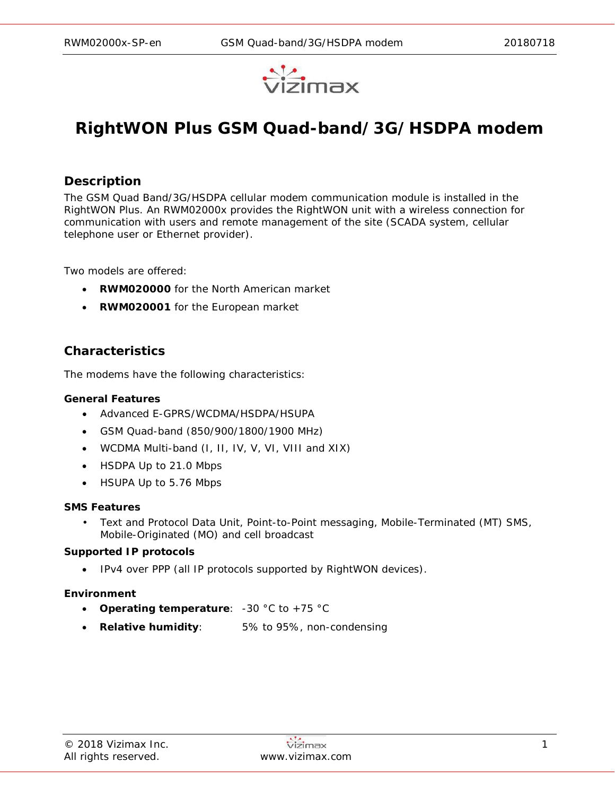

# **RightWON Plus GSM Quad-band/3G/HSDPA modem**

## **Description**

The GSM Quad Band/3G/HSDPA cellular modem communication module is installed in the RightWON Plus. An RWM02000x provides the RightWON unit with a wireless connection for communication with users and remote management of the site (SCADA system, cellular telephone user or Ethernet provider).

Two models are offered:

- **RWM020000** for the North American market
- **RWM020001** for the European market

## **Characteristics**

The modems have the following characteristics:

#### **General Features**

- Advanced E-GPRS/WCDMA/HSDPA/HSUPA
- GSM Quad-band (850/900/1800/1900 MHz)
- WCDMA Multi-band (I, II, IV, V, VI, VIII and XIX)
- HSDPA Up to 21.0 Mbps
- HSUPA Up to 5.76 Mbps

#### **SMS Features**

• Text and Protocol Data Unit, Point-to-Point messaging, Mobile-Terminated (MT) SMS, Mobile-Originated (MO) and cell broadcast

#### **Supported IP protocols**

• IPv4 over PPP (all IP protocols supported by RightWON devices).

#### **Environment**

- **Operating temperature**: -30 °C to +75 °C
- **Relative humidity**: 5% to 95%, non-condensing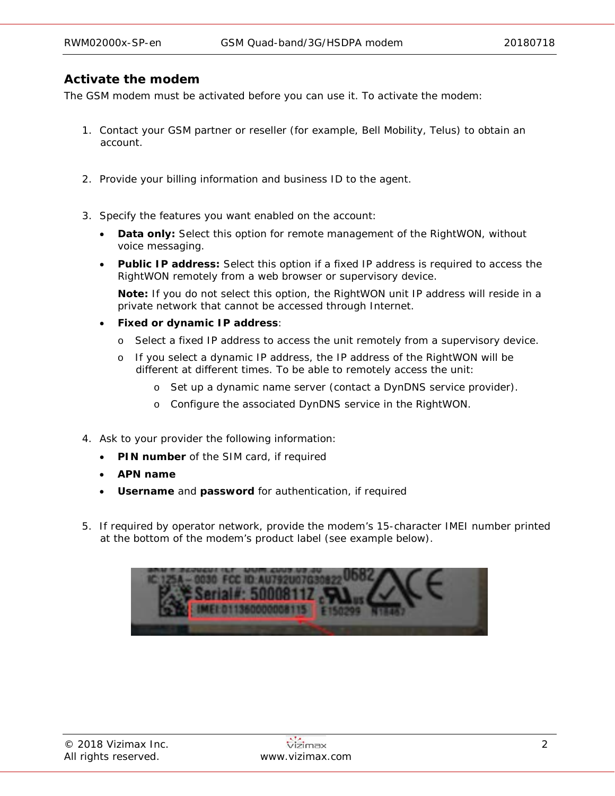## **Activate the modem**

The GSM modem must be activated before you can use it. To activate the modem:

- 1. Contact your GSM partner or reseller (for example, Bell Mobility, Telus) to obtain an account.
- 2. Provide your billing information and business ID to the agent.
- 3. Specify the features you want enabled on the account:
	- **Data only:** Select this option for remote management of the RightWON, without voice messaging.
	- **Public IP address:** Select this option if a fixed IP address is required to access the RightWON remotely from a web browser or supervisory device.

**Note:** If you do not select this option, the RightWON unit IP address will reside in a private network that cannot be accessed through Internet.

- **Fixed or dynamic IP address**:
	- o Select a fixed IP address to access the unit remotely from a supervisory device.
	- o If you select a dynamic IP address, the IP address of the RightWON will be different at different times. To be able to remotely access the unit:
		- o Set up a dynamic name server (contact a DynDNS service provider).
		- o Configure the associated DynDNS service in the RightWON.
- 4. Ask to your provider the following information:
	- **PIN number** of the SIM card, if required
	- **APN name**
	- **Username** and **password** for authentication, if required
- 5. If required by operator network, provide the modem's 15-character IMEI number printed at the bottom of the modem's product label (see example below).

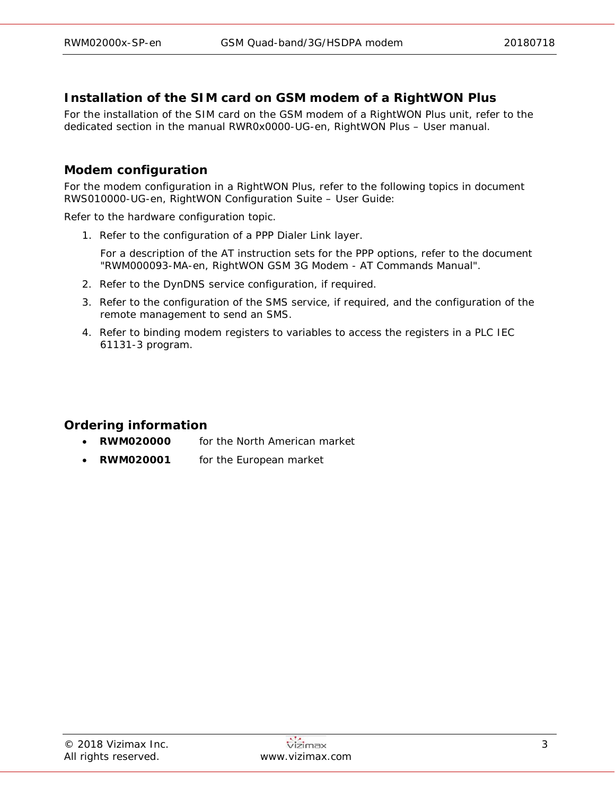# **Installation of the SIM card on GSM modem of a RightWON Plus**

For the installation of the SIM card on the GSM modem of a RightWON Plus unit, refer to the dedicated section in the manual *RWR0x0000-UG-en, RightWON Plus – User manual*.

# **Modem configuration**

For the modem configuration in a RightWON Plus, refer to the following topics in document *RWS010000-UG-en, RightWON Configuration Suite – User Guide*:

Refer to the hardware configuration topic.

1. Refer to the configuration of a PPP Dialer Link layer.

For a description of the AT instruction sets for the PPP options, refer to the document "RWM000093-MA-en, RightWON GSM 3G Modem - AT Commands Manual".

- 2. Refer to the DynDNS service configuration, if required.
- 3. Refer to the configuration of the SMS service, if required, and the configuration of the remote management to send an SMS.
- 4. Refer to binding modem registers to variables to access the registers in a PLC IEC 61131-3 program.

# **Ordering information**

- **RWM020000** for the North American market
- **RWM020001** for the European market